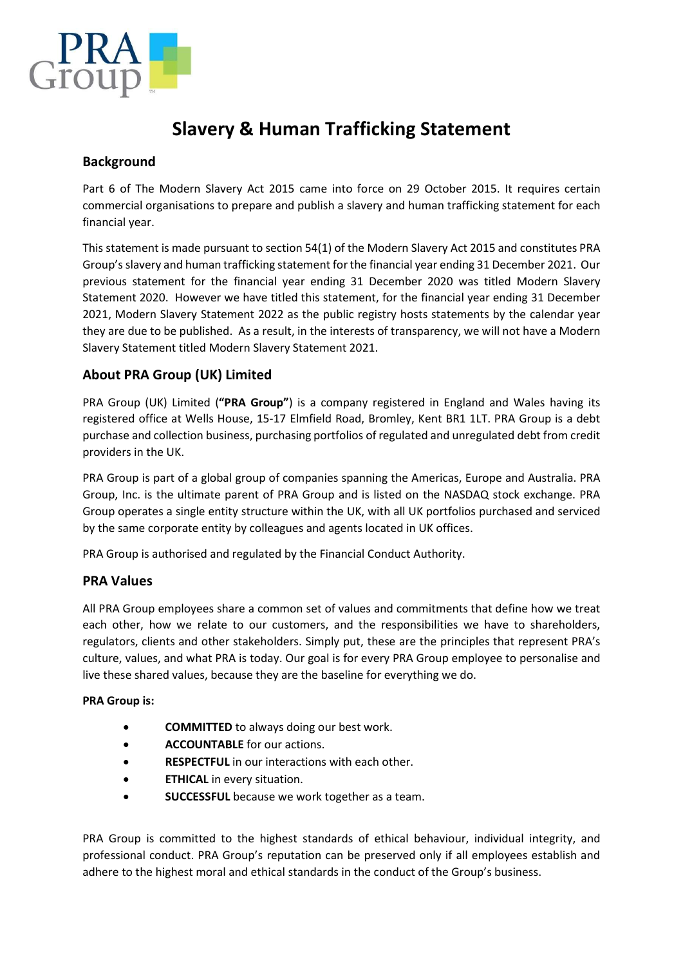

# Slavery & Human Trafficking Statement

# Background

Part 6 of The Modern Slavery Act 2015 came into force on 29 October 2015. It requires certain commercial organisations to prepare and publish a slavery and human trafficking statement for each financial year.

This statement is made pursuant to section 54(1) of the Modern Slavery Act 2015 and constitutes PRA Group's slavery and human trafficking statement for the financial year ending 31 December 2021. Our previous statement for the financial year ending 31 December 2020 was titled Modern Slavery Statement 2020. However we have titled this statement, for the financial year ending 31 December 2021, Modern Slavery Statement 2022 as the public registry hosts statements by the calendar year they are due to be published. As a result, in the interests of transparency, we will not have a Modern Slavery Statement titled Modern Slavery Statement 2021.

# About PRA Group (UK) Limited

PRA Group (UK) Limited ("PRA Group") is a company registered in England and Wales having its registered office at Wells House, 15-17 Elmfield Road, Bromley, Kent BR1 1LT. PRA Group is a debt purchase and collection business, purchasing portfolios of regulated and unregulated debt from credit providers in the UK.

PRA Group is part of a global group of companies spanning the Americas, Europe and Australia. PRA Group, Inc. is the ultimate parent of PRA Group and is listed on the NASDAQ stock exchange. PRA Group operates a single entity structure within the UK, with all UK portfolios purchased and serviced by the same corporate entity by colleagues and agents located in UK offices.

PRA Group is authorised and regulated by the Financial Conduct Authority.

## PRA Values

All PRA Group employees share a common set of values and commitments that define how we treat each other, how we relate to our customers, and the responsibilities we have to shareholders, regulators, clients and other stakeholders. Simply put, these are the principles that represent PRA's culture, values, and what PRA is today. Our goal is for every PRA Group employee to personalise and live these shared values, because they are the baseline for everything we do.

#### PRA Group is:

- **COMMITTED** to always doing our best work.
- **ACCOUNTABLE** for our actions.
- **RESPECTFUL** in our interactions with each other.
- ETHICAL in every situation.
- **SUCCESSFUL** because we work together as a team.

PRA Group is committed to the highest standards of ethical behaviour, individual integrity, and professional conduct. PRA Group's reputation can be preserved only if all employees establish and adhere to the highest moral and ethical standards in the conduct of the Group's business.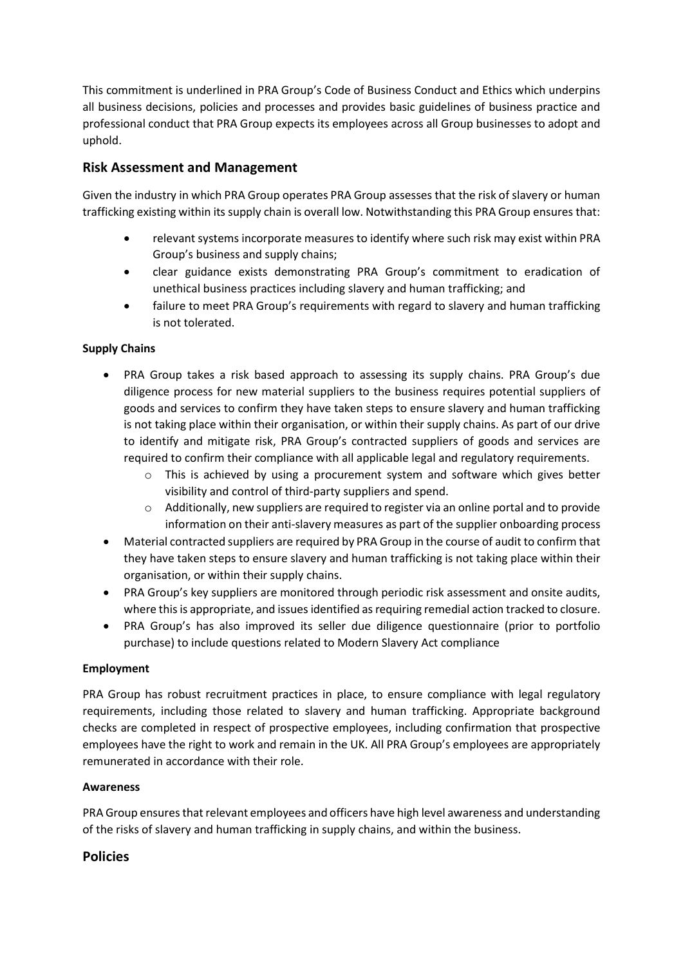This commitment is underlined in PRA Group's Code of Business Conduct and Ethics which underpins all business decisions, policies and processes and provides basic guidelines of business practice and professional conduct that PRA Group expects its employees across all Group businesses to adopt and uphold.

# Risk Assessment and Management

Given the industry in which PRA Group operates PRA Group assesses that the risk of slavery or human trafficking existing within its supply chain is overall low. Notwithstanding this PRA Group ensures that:

- relevant systems incorporate measures to identify where such risk may exist within PRA Group's business and supply chains;
- clear guidance exists demonstrating PRA Group's commitment to eradication of unethical business practices including slavery and human trafficking; and
- failure to meet PRA Group's requirements with regard to slavery and human trafficking is not tolerated.

## Supply Chains

- PRA Group takes a risk based approach to assessing its supply chains. PRA Group's due diligence process for new material suppliers to the business requires potential suppliers of goods and services to confirm they have taken steps to ensure slavery and human trafficking is not taking place within their organisation, or within their supply chains. As part of our drive to identify and mitigate risk, PRA Group's contracted suppliers of goods and services are required to confirm their compliance with all applicable legal and regulatory requirements.
	- o This is achieved by using a procurement system and software which gives better visibility and control of third-party suppliers and spend.
	- o Additionally, new suppliers are required to register via an online portal and to provide information on their anti-slavery measures as part of the supplier onboarding process
- Material contracted suppliers are required by PRA Group in the course of audit to confirm that they have taken steps to ensure slavery and human trafficking is not taking place within their organisation, or within their supply chains.
- PRA Group's key suppliers are monitored through periodic risk assessment and onsite audits, where this is appropriate, and issues identified as requiring remedial action tracked to closure.
- PRA Group's has also improved its seller due diligence questionnaire (prior to portfolio purchase) to include questions related to Modern Slavery Act compliance

## Employment

PRA Group has robust recruitment practices in place, to ensure compliance with legal regulatory requirements, including those related to slavery and human trafficking. Appropriate background checks are completed in respect of prospective employees, including confirmation that prospective employees have the right to work and remain in the UK. All PRA Group's employees are appropriately remunerated in accordance with their role.

#### **Awareness**

PRA Group ensures that relevant employees and officers have high level awareness and understanding of the risks of slavery and human trafficking in supply chains, and within the business.

## Policies